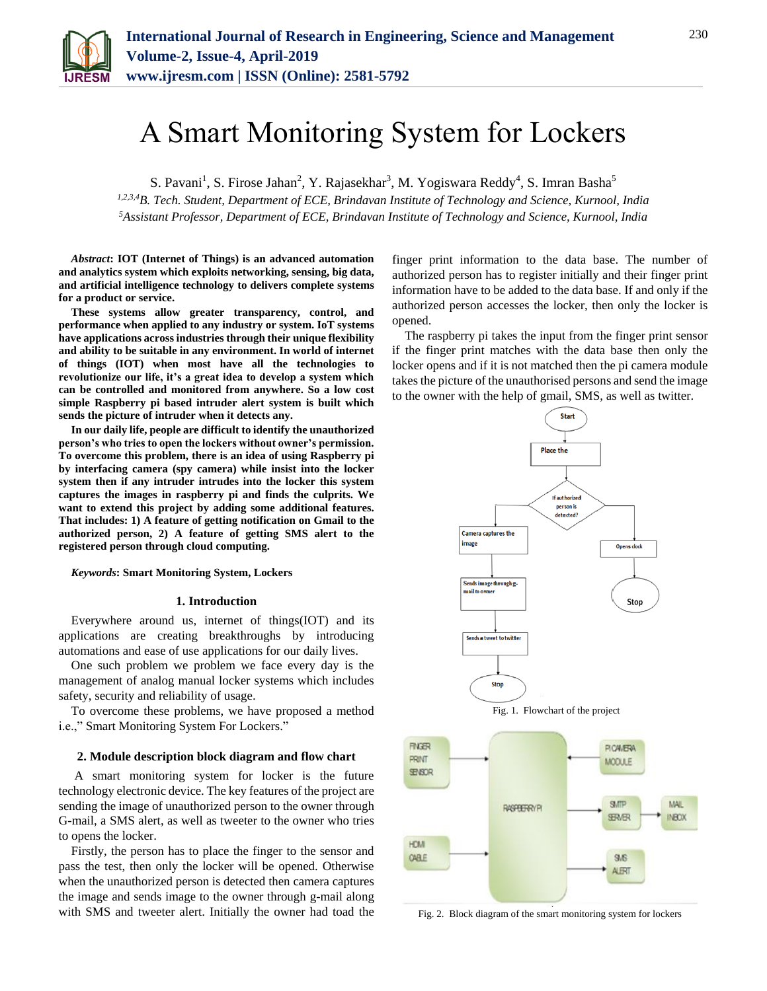

# A Smart Monitoring System for Lockers

S. Pavani<sup>1</sup>, S. Firose Jahan<sup>2</sup>, Y. Rajasekhar<sup>3</sup>, M. Yogiswara Reddy<sup>4</sup>, S. Imran Basha<sup>5</sup>

*1,2,3,4B. Tech. Student, Department of ECE, Brindavan Institute of Technology and Science, Kurnool, India 5Assistant Professor, Department of ECE, Brindavan Institute of Technology and Science, Kurnool, India*

*Abstract***: IOT (Internet of Things) is an advanced automation and analytics system which exploits networking, sensing, big data, and artificial intelligence technology to delivers complete systems for a product or service.** 

**These systems allow greater transparency, control, and performance when applied to any industry or system. IoT systems have applications across industries through their unique flexibility and ability to be suitable in any environment. In world of internet of things (IOT) when most have all the technologies to revolutionize our life, it's a great idea to develop a system which can be controlled and monitored from anywhere. So a low cost simple Raspberry pi based intruder alert system is built which sends the picture of intruder when it detects any.**

**In our daily life, people are difficult to identify the unauthorized person's who tries to open the lockers without owner's permission. To overcome this problem, there is an idea of using Raspberry pi by interfacing camera (spy camera) while insist into the locker system then if any intruder intrudes into the locker this system captures the images in raspberry pi and finds the culprits. We want to extend this project by adding some additional features. That includes: 1) A feature of getting notification on Gmail to the authorized person, 2) A feature of getting SMS alert to the registered person through cloud computing.**

*Keywords***: Smart Monitoring System, Lockers**

#### **1. Introduction**

Everywhere around us, internet of things(IOT) and its applications are creating breakthroughs by introducing automations and ease of use applications for our daily lives.

One such problem we problem we face every day is the management of analog manual locker systems which includes safety, security and reliability of usage.

To overcome these problems, we have proposed a method i.e.," Smart Monitoring System For Lockers."

#### **2. Module description block diagram and flow chart**

A smart monitoring system for locker is the future technology electronic device. The key features of the project are sending the image of unauthorized person to the owner through G-mail, a SMS alert, as well as tweeter to the owner who tries to opens the locker.

Firstly, the person has to place the finger to the sensor and pass the test, then only the locker will be opened. Otherwise when the unauthorized person is detected then camera captures the image and sends image to the owner through g-mail along with SMS and tweeter alert. Initially the owner had toad the finger print information to the data base. The number of authorized person has to register initially and their finger print information have to be added to the data base. If and only if the authorized person accesses the locker, then only the locker is opened.

The raspberry pi takes the input from the finger print sensor if the finger print matches with the data base then only the locker opens and if it is not matched then the pi camera module takes the picture of the unauthorised persons and send the image to the owner with the help of gmail, SMS, as well as twitter.



Fig. 2. Block diagram of the smart monitoring system for lockers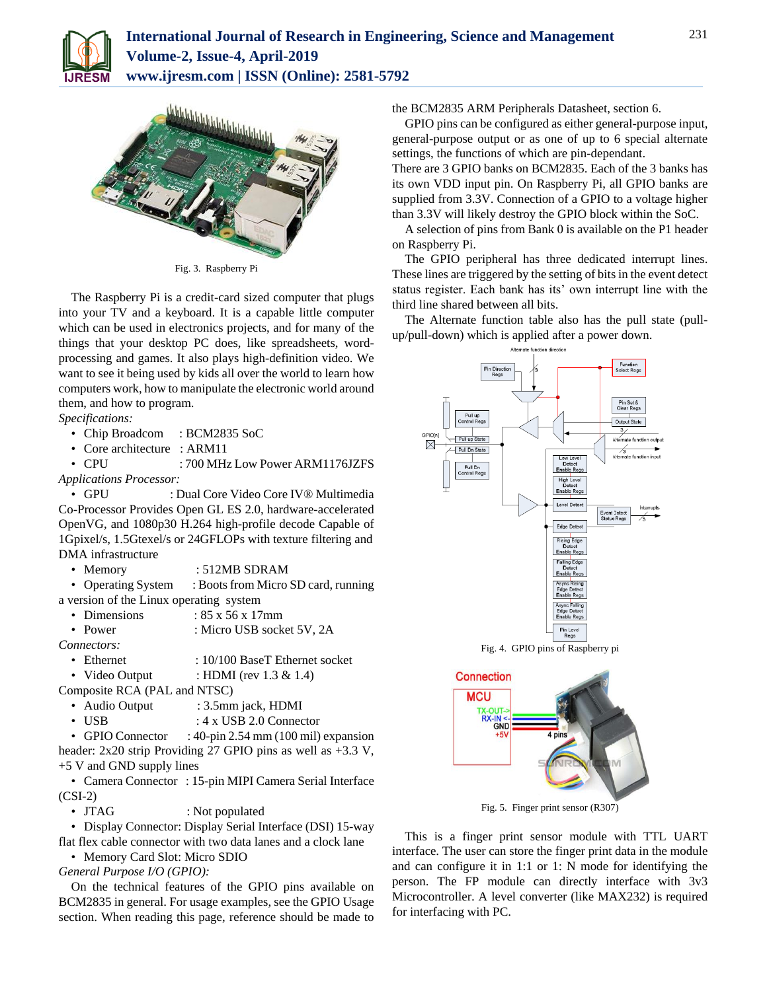



Fig. 3. Raspberry Pi

The Raspberry Pi is a credit-card sized computer that plugs into your TV and a keyboard. It is a capable little computer which can be used in electronics projects, and for many of the things that your desktop PC does, like spreadsheets, wordprocessing and games. It also plays high-definition video. We want to see it being used by kids all over the world to learn how computers work, how to manipulate the electronic world around them, and how to program.

*Specifications:*

- Chip Broadcom : BCM2835 SoC
- Core architecture : ARM11

• CPU : 700 MHz Low Power ARM1176JZFS *Applications Processor:*

• GPU : Dual Core Video Core IV® Multimedia Co-Processor Provides Open GL ES 2.0, hardware-accelerated OpenVG, and 1080p30 H.264 high-profile decode Capable of 1Gpixel/s, 1.5Gtexel/s or 24GFLOPs with texture filtering and DMA infrastructure

• Memory : 512MB SDRAM

• Operating System : Boots from Micro SD card, running a version of the Linux operating system

- Dimensions :  $85 \times 56 \times 17$ mm
- Power : Micro USB socket 5V, 2A

*Connectors:* 

• Ethernet : 10/100 BaseT Ethernet socket

• Video Output : HDMI (rev 1.3 & 1.4)

Composite RCA (PAL and NTSC)

- Audio Output : 3.5mm jack, HDMI
- USB : 4 x USB 2.0 Connector

• GPIO Connector : 40-pin 2.54 mm (100 mil) expansion

header: 2x20 strip Providing 27 GPIO pins as well as +3.3 V, +5 V and GND supply lines

• Camera Connector : 15-pin MIPI Camera Serial Interface (CSI-2)

• JTAG : Not populated

• Display Connector: Display Serial Interface (DSI) 15-way flat flex cable connector with two data lanes and a clock lane

• Memory Card Slot: Micro SDIO

*General Purpose I/O (GPIO):*

On the technical features of the GPIO pins available on BCM2835 in general. For usage examples, see the GPIO Usage section. When reading this page, reference should be made to

the BCM2835 ARM Peripherals Datasheet, section 6.

GPIO pins can be configured as either general-purpose input, general-purpose output or as one of up to 6 special alternate settings, the functions of which are pin-dependant.

There are 3 GPIO banks on BCM2835. Each of the 3 banks has its own VDD input pin. On Raspberry Pi, all GPIO banks are supplied from 3.3V. Connection of a GPIO to a voltage higher than 3.3V will likely destroy the GPIO block within the SoC.

A selection of pins from Bank 0 is available on the P1 header on Raspberry Pi.

The GPIO peripheral has three dedicated interrupt lines. These lines are triggered by the setting of bits in the event detect status register. Each bank has its' own interrupt line with the third line shared between all bits.

The Alternate function table also has the pull state (pullup/pull-down) which is applied after a power down.



Fig. 4. GPIO pins of Raspberry pi



Fig. 5. Finger print sensor (R307)

This is a finger print sensor module with TTL UART interface. The user can store the finger print data in the module and can configure it in 1:1 or 1: N mode for identifying the person. The FP module can directly interface with 3v3 Microcontroller. A level converter (like MAX232) is required for interfacing with PC.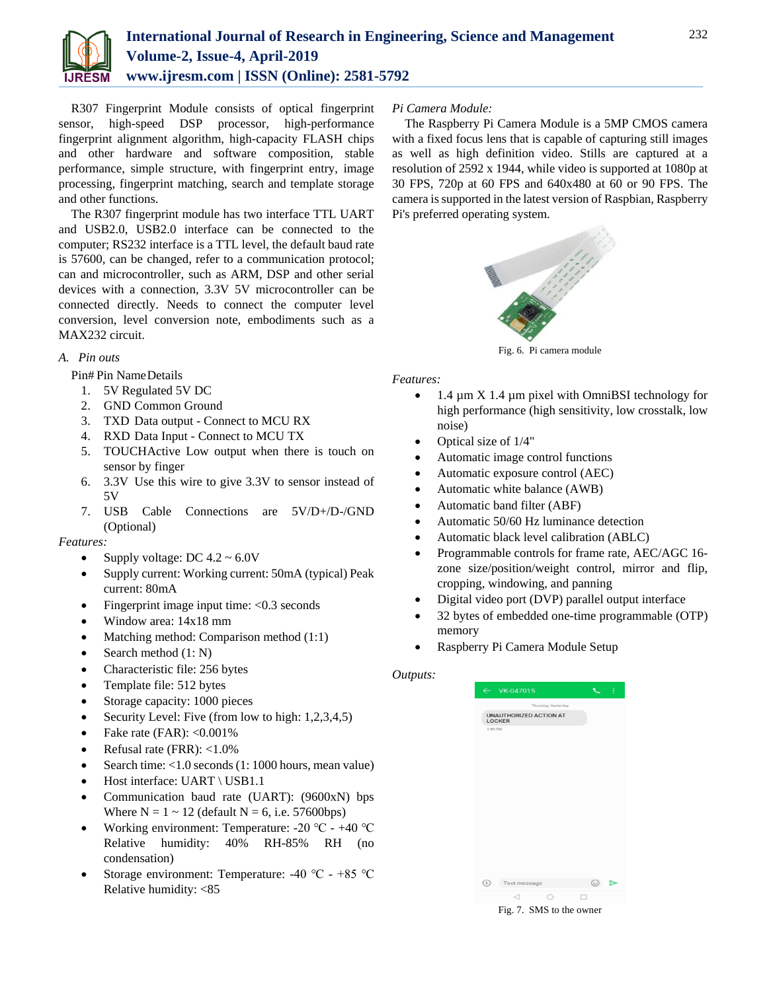

R307 Fingerprint Module consists of optical fingerprint sensor, high-speed DSP processor, high-performance fingerprint alignment algorithm, high-capacity FLASH chips and other hardware and software composition, stable performance, simple structure, with fingerprint entry, image processing, fingerprint matching, search and template storage and other functions.

The R307 fingerprint module has two interface TTL UART and USB2.0, USB2.0 interface can be connected to the computer; RS232 interface is a TTL level, the default baud rate is 57600, can be changed, refer to a communication protocol; can and microcontroller, such as ARM, DSP and other serial devices with a connection, 3.3V 5V microcontroller can be connected directly. Needs to connect the computer level conversion, level conversion note, embodiments such as a MAX232 circuit.

## *A. Pin outs*

Pin# Pin NameDetails

- 1. 5V Regulated 5V DC
- 2. GND Common Ground
- 3. TXD Data output Connect to MCU RX
- 4. RXD Data Input Connect to MCU TX
- 5. TOUCHActive Low output when there is touch on sensor by finger
- 6. 3.3V Use this wire to give 3.3V to sensor instead of 5V
- 7. USB Cable Connections are 5V/D+/D-/GND (Optional)

## *Features:*

- Supply voltage: DC  $4.2 \sim 6.0V$
- Supply current: Working current: 50mA (typical) Peak current: 80mA
- Fingerprint image input time:  $< 0.3$  seconds
- Window area: 14x18 mm
- Matching method: Comparison method (1:1)
- Search method  $(1: N)$
- Characteristic file: 256 bytes
- Template file: 512 bytes
- Storage capacity: 1000 pieces
- Security Level: Five (from low to high: 1,2,3,4,5)
- Fake rate  $(FAR): <0.001\%$
- Refusal rate (FRR): <1.0%
- Search time: <1.0 seconds (1: 1000 hours, mean value)
- Host interface: UART \ USB1.1
- Communication baud rate (UART): (9600xN) bps Where  $N = 1 \sim 12$  (default  $N = 6$ , i.e. 57600bps)
- Working environment: Temperature: -20 ℃ +40 ℃ Relative humidity: 40% RH-85% RH (no condensation)
- Storage environment: Temperature: -40 ℃ +85 ℃ Relative humidity: <85

## *Pi Camera Module:*

The Raspberry Pi Camera Module is a 5MP CMOS camera with a fixed focus lens that is capable of capturing still images as well as high definition video. Stills are captured at a resolution of 2592 x 1944, while video is supported at 1080p at 30 FPS, 720p at 60 FPS and 640x480 at 60 or 90 FPS. The camera is supported in the latest version of Raspbian, Raspberry Pi's preferred operating system.



Fig. 6. Pi camera module

## *Features:*

- $\bullet$  1.4 µm X 1.4 µm pixel with OmniBSI technology for high performance (high sensitivity, low crosstalk, low noise)
- Optical size of 1/4"
- Automatic image control functions
- Automatic exposure control (AEC)
- Automatic white balance (AWB)
- Automatic band filter (ABF)
- Automatic 50/60 Hz luminance detection
- Automatic black level calibration (ABLC)
- Programmable controls for frame rate, AEC/AGC 16 zone size/position/weight control, mirror and flip, cropping, windowing, and panning
- Digital video port (DVP) parallel output interface
- 32 bytes of embedded one-time programmable (OTP) memory
- Raspberry Pi Camera Module Setup

## *Outputs:*

| $\leftarrow$ VK-047015                                          | ă                           |
|-----------------------------------------------------------------|-----------------------------|
| Thursday, Yesterday                                             |                             |
| <b>UNAUTHORIZED ACTION AT</b><br><b>LOCKER</b>                  |                             |
| 1:49 PM                                                         |                             |
|                                                                 |                             |
|                                                                 |                             |
|                                                                 |                             |
|                                                                 |                             |
|                                                                 |                             |
|                                                                 |                             |
|                                                                 |                             |
|                                                                 |                             |
|                                                                 |                             |
|                                                                 |                             |
| ⊕<br>Text message                                               | $\odot$<br>$\triangleright$ |
| ◁                                                               | п                           |
| $\mathbf{E}^{\text{max}}$<br>$CIM C + 11 - 1$<br>$\overline{ }$ |                             |

Fig. 7. SMS to the owner